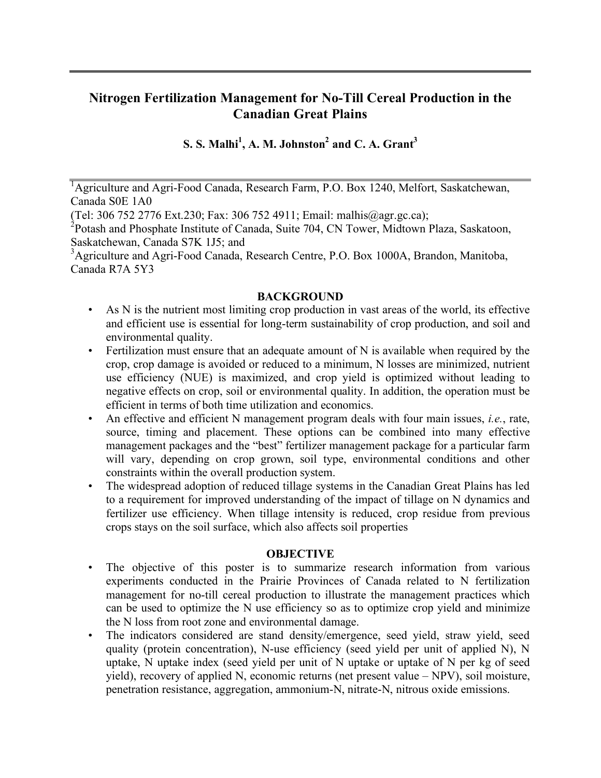# **Nitrogen Fertilization Management for No-Till Cereal Production in the Canadian Great Plains**

 $\mathbf{S}. \mathbf{S}. \mathbf{M}$ alhi $^1$ , A. M. Johnston $^2$  and C. A. Grant $^3$ 

<sup>1</sup>Agriculture and Agri-Food Canada, Research Farm, P.O. Box 1240, Melfort, Saskatchewan, Canada S0E 1A0

(Tel: 306 752 2776 Ext.230; Fax: 306 752 4911; Email: malhis@agr.gc.ca);

<sup>2</sup> Potash and Phosphate Institute of Canada, Suite 704, CN Tower, Midtown Plaza, Saskatoon, Saskatchewan, Canada S7K 1J5; and

<sup>3</sup> Agriculture and Agri-Food Canada, Research Centre, P.O. Box 1000A, Brandon, Manitoba, Canada R7A 5Y3

### **BACKGROUND**

- As N is the nutrient most limiting crop production in vast areas of the world, its effective and efficient use is essential for long-term sustainability of crop production, and soil and environmental quality.
- Fertilization must ensure that an adequate amount of N is available when required by the crop, crop damage is avoided or reduced to a minimum, N losses are minimized, nutrient use efficiency (NUE) is maximized, and crop yield is optimized without leading to negative effects on crop, soil or environmental quality. In addition, the operation must be efficient in terms of both time utilization and economics.
- An effective and efficient N management program deals with four main issues, *i.e.*, rate, source, timing and placement. These options can be combined into many effective management packages and the "best" fertilizer management package for a particular farm will vary, depending on crop grown, soil type, environmental conditions and other constraints within the overall production system.
- The widespread adoption of reduced tillage systems in the Canadian Great Plains has led to a requirement for improved understanding of the impact of tillage on N dynamics and fertilizer use efficiency. When tillage intensity is reduced, crop residue from previous crops stays on the soil surface, which also affects soil properties

# **OBJECTIVE**

- The objective of this poster is to summarize research information from various experiments conducted in the Prairie Provinces of Canada related to N fertilization management for no-till cereal production to illustrate the management practices which can be used to optimize the N use efficiency so as to optimize crop yield and minimize the N loss from root zone and environmental damage.
- The indicators considered are stand density/emergence, seed yield, straw yield, seed quality (protein concentration), N-use efficiency (seed yield per unit of applied N), N uptake, N uptake index (seed yield per unit of N uptake or uptake of N per kg of seed yield), recovery of applied N, economic returns (net present value – NPV), soil moisture, penetration resistance, aggregation, ammonium-N, nitrate-N, nitrous oxide emissions.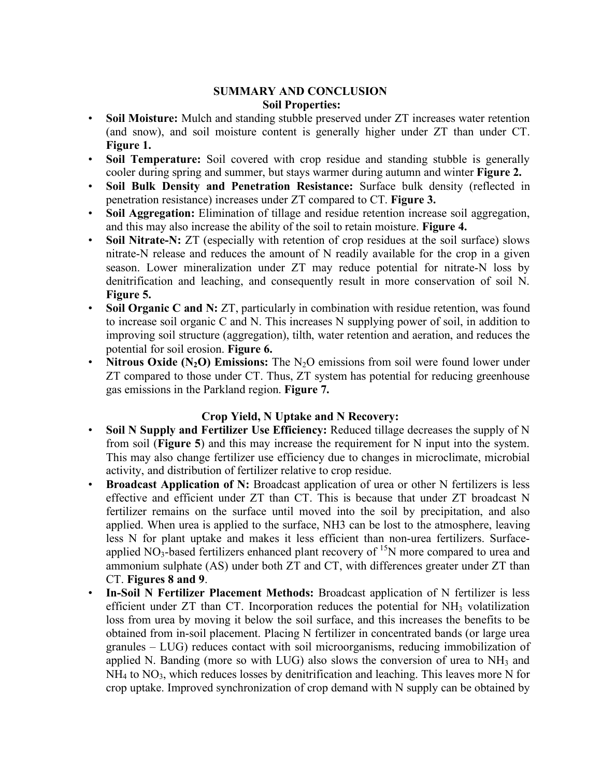## **SUMMARY AND CONCLUSION Soil Properties:**

- **Soil Moisture:** Mulch and standing stubble preserved under ZT increases water retention (and snow), and soil moisture content is generally higher under ZT than under CT. **Figure 1.**
- **Soil Temperature:** Soil covered with crop residue and standing stubble is generally cooler during spring and summer, but stays warmer during autumn and winter **Figure 2.**
- **Soil Bulk Density and Penetration Resistance:** Surface bulk density (reflected in penetration resistance) increases under ZT compared to CT. **Figure 3.**
- **Soil Aggregation:** Elimination of tillage and residue retention increase soil aggregation, and this may also increase the ability of the soil to retain moisture. **Figure 4.**
- **Soil Nitrate-N:** ZT (especially with retention of crop residues at the soil surface) slows nitrate-N release and reduces the amount of N readily available for the crop in a given season. Lower mineralization under ZT may reduce potential for nitrate-N loss by denitrification and leaching, and consequently result in more conservation of soil N. **Figure 5.**
- **Soil Organic C and N:** ZT, particularly in combination with residue retention, was found to increase soil organic C and N. This increases N supplying power of soil, in addition to improving soil structure (aggregation), tilth, water retention and aeration, and reduces the potential for soil erosion. **Figure 6.**
- **Nitrous Oxide**  $(N_2O)$  **Emissions:** The  $N_2O$  emissions from soil were found lower under ZT compared to those under CT. Thus, ZT system has potential for reducing greenhouse gas emissions in the Parkland region. **Figure 7.**

# **Crop Yield, N Uptake and N Recovery:**

- **Soil N Supply and Fertilizer Use Efficiency:** Reduced tillage decreases the supply of N from soil (**Figure 5**) and this may increase the requirement for N input into the system. This may also change fertilizer use efficiency due to changes in microclimate, microbial activity, and distribution of fertilizer relative to crop residue.
- **Broadcast Application of N:** Broadcast application of urea or other N fertilizers is less effective and efficient under ZT than CT. This is because that under ZT broadcast N fertilizer remains on the surface until moved into the soil by precipitation, and also applied. When urea is applied to the surface, NH3 can be lost to the atmosphere, leaving less N for plant uptake and makes it less efficient than non-urea fertilizers. Surfaceapplied  $NO<sub>3</sub>$ -based fertilizers enhanced plant recovery of  $^{15}N$  more compared to urea and ammonium sulphate (AS) under both ZT and CT, with differences greater under ZT than CT. **Figures 8 and 9**.
- **In-Soil N Fertilizer Placement Methods:** Broadcast application of N fertilizer is less efficient under  $ZT$  than CT. Incorporation reduces the potential for  $NH<sub>3</sub>$  volatilization loss from urea by moving it below the soil surface, and this increases the benefits to be obtained from in-soil placement. Placing N fertilizer in concentrated bands (or large urea granules – LUG) reduces contact with soil microorganisms, reducing immobilization of applied N. Banding (more so with LUG) also slows the conversion of urea to NH<sub>3</sub> and NH4 to NO3, which reduces losses by denitrification and leaching. This leaves more N for crop uptake. Improved synchronization of crop demand with N supply can be obtained by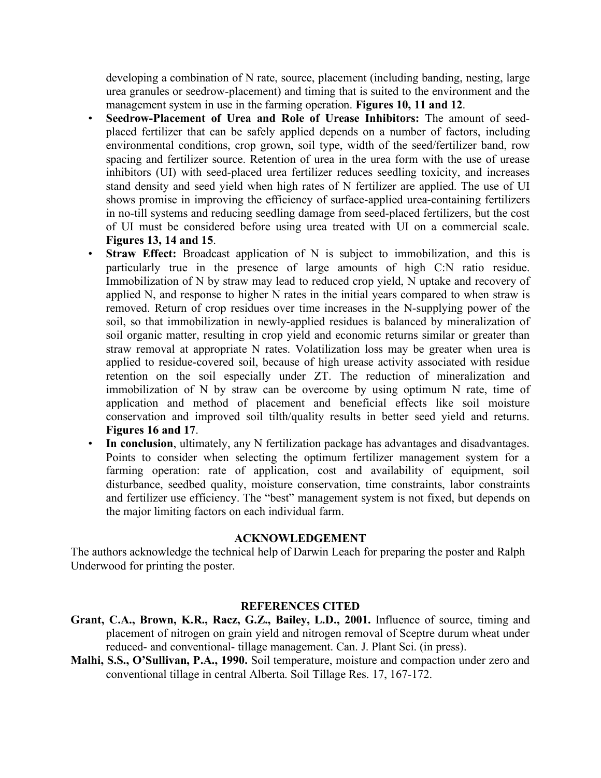developing a combination of N rate, source, placement (including banding, nesting, large urea granules or seedrow-placement) and timing that is suited to the environment and the management system in use in the farming operation. **Figures 10, 11 and 12**.

- **Seedrow-Placement of Urea and Role of Urease Inhibitors:** The amount of seedplaced fertilizer that can be safely applied depends on a number of factors, including environmental conditions, crop grown, soil type, width of the seed/fertilizer band, row spacing and fertilizer source. Retention of urea in the urea form with the use of urease inhibitors (UI) with seed-placed urea fertilizer reduces seedling toxicity, and increases stand density and seed yield when high rates of N fertilizer are applied. The use of UI shows promise in improving the efficiency of surface-applied urea-containing fertilizers in no-till systems and reducing seedling damage from seed-placed fertilizers, but the cost of UI must be considered before using urea treated with UI on a commercial scale. **Figures 13, 14 and 15**.
- **Straw Effect:** Broadcast application of N is subject to immobilization, and this is particularly true in the presence of large amounts of high C:N ratio residue. Immobilization of N by straw may lead to reduced crop yield, N uptake and recovery of applied N, and response to higher N rates in the initial years compared to when straw is removed. Return of crop residues over time increases in the N-supplying power of the soil, so that immobilization in newly-applied residues is balanced by mineralization of soil organic matter, resulting in crop yield and economic returns similar or greater than straw removal at appropriate N rates. Volatilization loss may be greater when urea is applied to residue-covered soil, because of high urease activity associated with residue retention on the soil especially under ZT. The reduction of mineralization and immobilization of N by straw can be overcome by using optimum N rate, time of application and method of placement and beneficial effects like soil moisture conservation and improved soil tilth/quality results in better seed yield and returns. **Figures 16 and 17**.
- **In conclusion**, ultimately, any N fertilization package has advantages and disadvantages. Points to consider when selecting the optimum fertilizer management system for a farming operation: rate of application, cost and availability of equipment, soil disturbance, seedbed quality, moisture conservation, time constraints, labor constraints and fertilizer use efficiency. The "best" management system is not fixed, but depends on the major limiting factors on each individual farm.

#### **ACKNOWLEDGEMENT**

The authors acknowledge the technical help of Darwin Leach for preparing the poster and Ralph Underwood for printing the poster.

#### **REFERENCES CITED**

- **Grant, C.A., Brown, K.R., Racz, G.Z., Bailey, L.D., 2001.** Influence of source, timing and placement of nitrogen on grain yield and nitrogen removal of Sceptre durum wheat under reduced- and conventional- tillage management. Can. J. Plant Sci. (in press).
- **Malhi, S.S., O'Sullivan, P.A., 1990.** Soil temperature, moisture and compaction under zero and conventional tillage in central Alberta. Soil Tillage Res. 17, 167-172.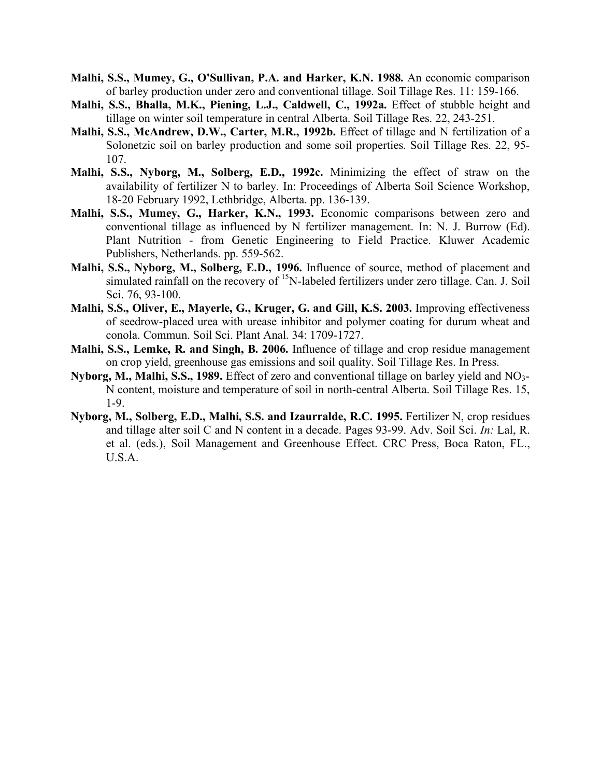- **Malhi, S.S., Mumey, G., O'Sullivan, P.A. and Harker, K.N. 1988.** An economic comparison of barley production under zero and conventional tillage. Soil Tillage Res. 11: 159-166.
- **Malhi, S.S., Bhalla, M.K., Piening, L.J., Caldwell, C., 1992a.** Effect of stubble height and tillage on winter soil temperature in central Alberta. Soil Tillage Res. 22, 243-251.
- **Malhi, S.S., McAndrew, D.W., Carter, M.R., 1992b.** Effect of tillage and N fertilization of a Solonetzic soil on barley production and some soil properties. Soil Tillage Res. 22, 95- 107.
- **Malhi, S.S., Nyborg, M., Solberg, E.D., 1992c.** Minimizing the effect of straw on the availability of fertilizer N to barley. In: Proceedings of Alberta Soil Science Workshop, 18-20 February 1992, Lethbridge, Alberta. pp. 136-139.
- **Malhi, S.S., Mumey, G., Harker, K.N., 1993.** Economic comparisons between zero and conventional tillage as influenced by N fertilizer management. In: N. J. Burrow (Ed). Plant Nutrition - from Genetic Engineering to Field Practice. Kluwer Academic Publishers, Netherlands. pp. 559-562.
- **Malhi, S.S., Nyborg, M., Solberg, E.D., 1996.** Influence of source, method of placement and simulated rainfall on the recovery of <sup>15</sup>N-labeled fertilizers under zero tillage. Can. J. Soil Sci. 76, 93-100.
- **Malhi, S.S., Oliver, E., Mayerle, G., Kruger, G. and Gill, K.S. 2003.** Improving effectiveness of seedrow-placed urea with urease inhibitor and polymer coating for durum wheat and conola. Commun. Soil Sci. Plant Anal. 34: 1709-1727.
- **Malhi, S.S., Lemke, R. and Singh, B. 2006.** Influence of tillage and crop residue management on crop yield, greenhouse gas emissions and soil quality. Soil Tillage Res. In Press.
- **Nyborg, M., Malhi, S.S., 1989.** Effect of zero and conventional tillage on barley yield and NO3- N content, moisture and temperature of soil in north-central Alberta. Soil Tillage Res. 15, 1-9.
- **Nyborg, M., Solberg, E.D., Malhi, S.S. and Izaurralde, R.C. 1995.** Fertilizer N, crop residues and tillage alter soil C and N content in a decade. Pages 93-99. Adv. Soil Sci. *In:* Lal, R. et al. (eds.), Soil Management and Greenhouse Effect. CRC Press, Boca Raton, FL., U.S.A.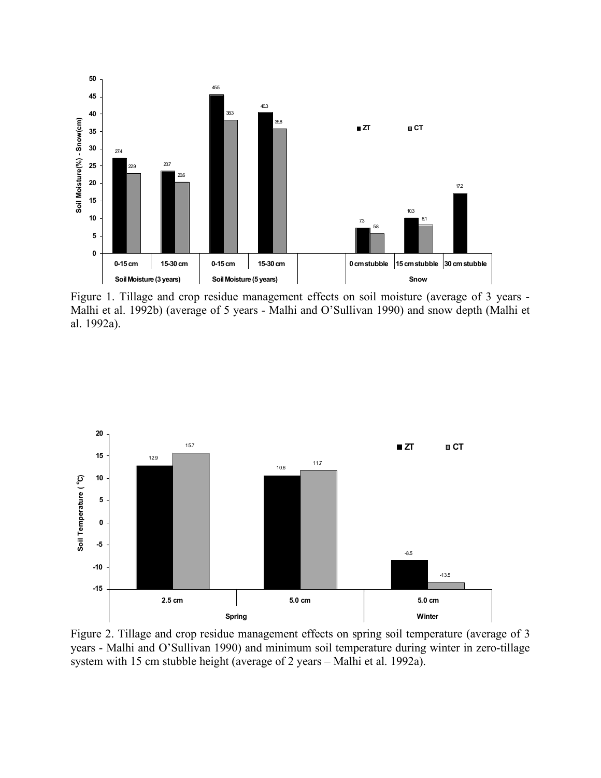

Figure 1. Tillage and crop residue management effects on soil moisture (average of 3 years - Malhi et al. 1992b) (average of 5 years - Malhi and O'Sullivan 1990) and snow depth (Malhi et al. 1992a).



Figure 2. Tillage and crop residue management effects on spring soil temperature (average of 3 years - Malhi and O'Sullivan 1990) and minimum soil temperature during winter in zero-tillage system with 15 cm stubble height (average of 2 years – Malhi et al. 1992a).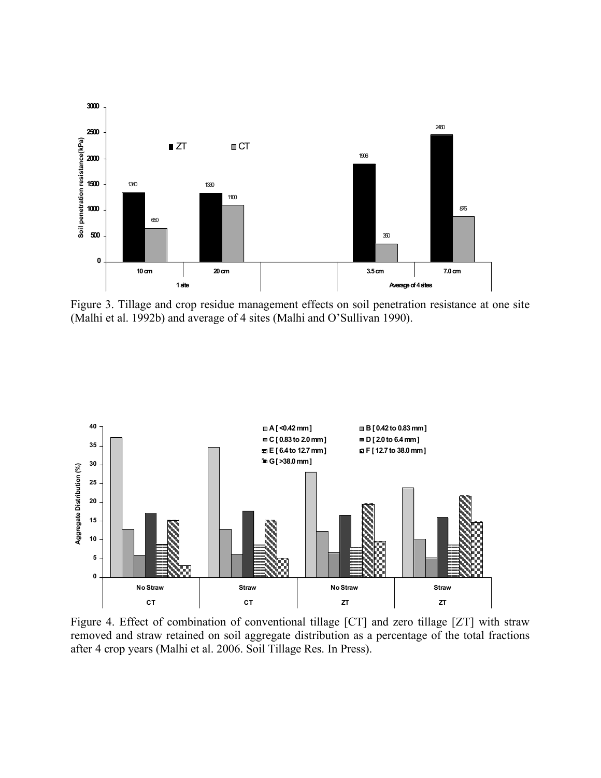

Figure 3. Tillage and crop residue management effects on soil penetration resistance at one site (Malhi et al. 1992b) and average of 4 sites (Malhi and O'Sullivan 1990).



Figure 4. Effect of combination of conventional tillage [CT] and zero tillage [ZT] with straw removed and straw retained on soil aggregate distribution as a percentage of the total fractions after 4 crop years (Malhi et al. 2006. Soil Tillage Res. In Press).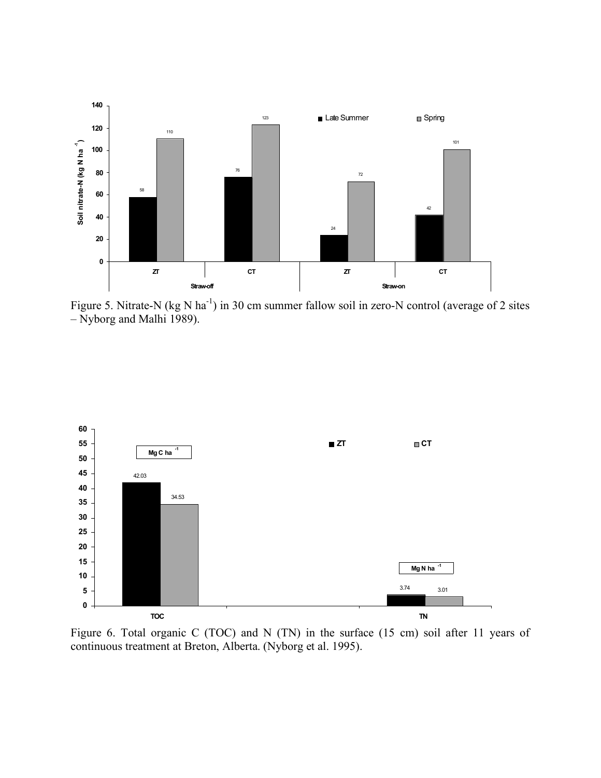

Figure 5. Nitrate-N (kg N ha<sup>-1</sup>) in 30 cm summer fallow soil in zero-N control (average of 2 sites – Nyborg and Malhi 1989).



Figure 6. Total organic C (TOC) and N (TN) in the surface (15 cm) soil after 11 years of continuous treatment at Breton, Alberta. (Nyborg et al. 1995).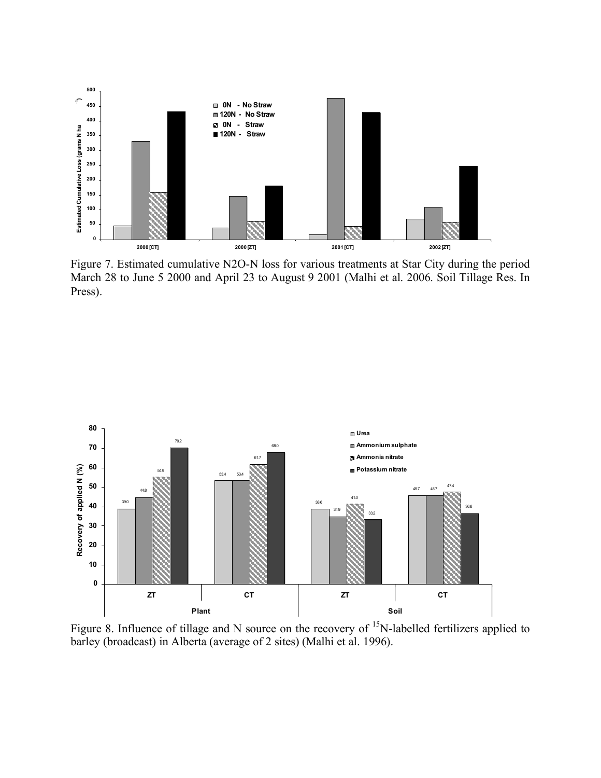

Figure 7. Estimated cumulative N2O-N loss for various treatments at Star City during the period March 28 to June 5 2000 and April 23 to August 9 2001 (Malhi et al. 2006. Soil Tillage Res. In Press).



Figure 8. Influence of tillage and N source on the recovery of  $15N$ -labelled fertilizers applied to barley (broadcast) in Alberta (average of 2 sites) (Malhi et al. 1996).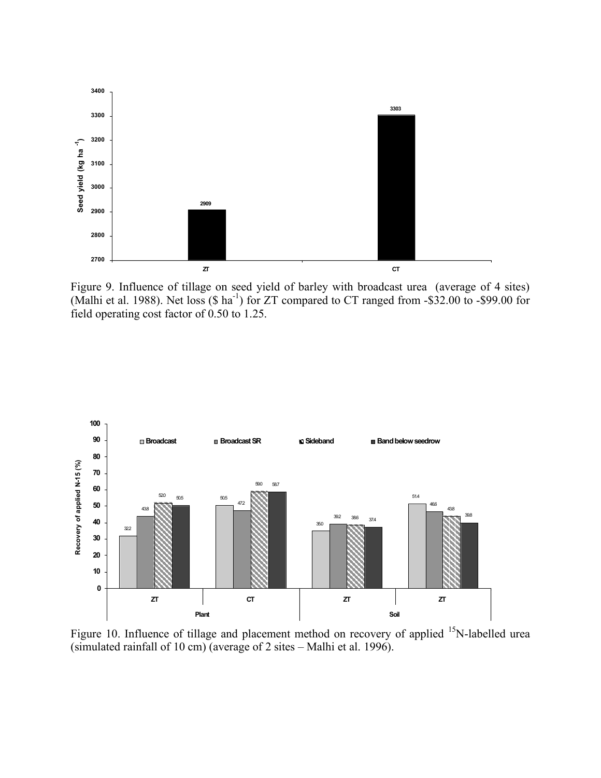

Figure 9. Influence of tillage on seed yield of barley with broadcast urea (average of 4 sites) (Malhi et al. 1988). Net loss  $(\$$  ha<sup>-1</sup>) for ZT compared to CT ranged from -\$32.00 to -\$99.00 for field operating cost factor of 0.50 to 1.25.



Figure 10. Influence of tillage and placement method on recovery of applied <sup>15</sup>N-labelled urea (simulated rainfall of 10 cm) (average of 2 sites – Malhi et al. 1996).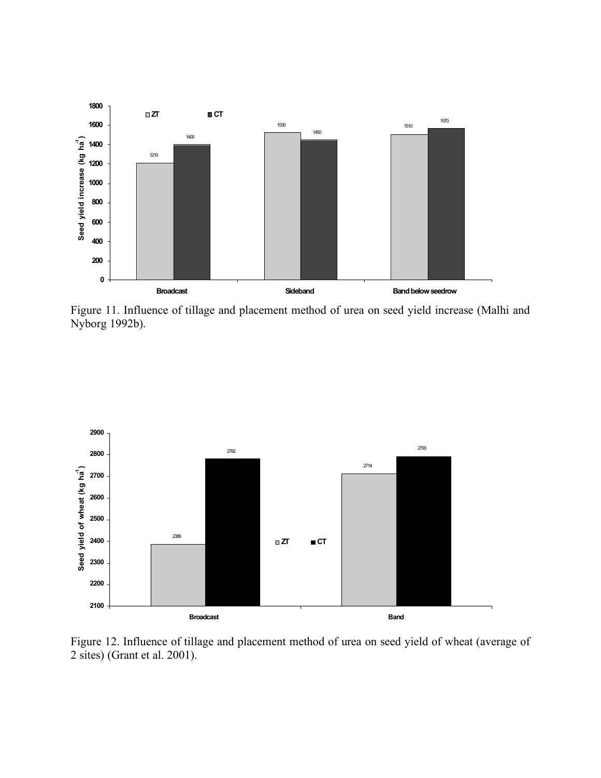

Figure 11. Influence of tillage and placement method of urea on seed yield increase (Malhi and Nyborg 1992b).



Figure 12. Influence of tillage and placement method of urea on seed yield of wheat (average of 2 sites) (Grant et al. 2001).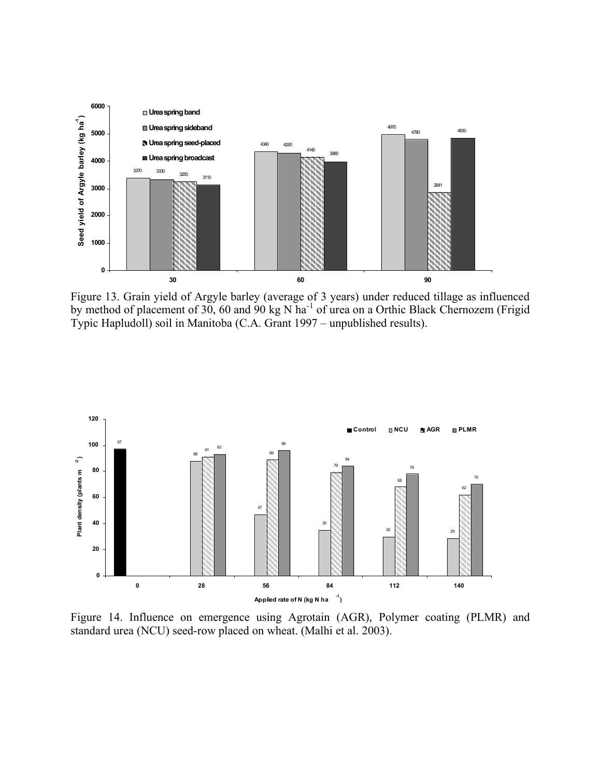

Figure 13. Grain yield of Argyle barley (average of 3 years) under reduced tillage as influenced by method of placement of 30, 60 and 90 kg N ha<sup>-1</sup> of urea on a Orthic Black Chernozem (Frigid Typic Hapludoll) soil in Manitoba (C.A. Grant 1997 – unpublished results).



Figure 14. Influence on emergence using Agrotain (AGR), Polymer coating (PLMR) and standard urea (NCU) seed-row placed on wheat. (Malhi et al. 2003).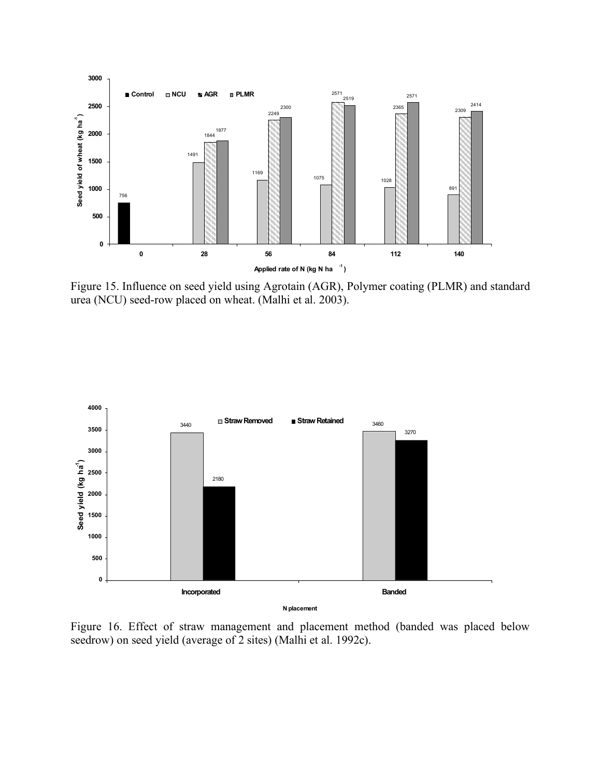

Figure 15. Influence on seed yield using Agrotain (AGR), Polymer coating (PLMR) and standard urea (NCU) seed-row placed on wheat. (Malhi et al. 2003).



Figure 16. Effect of straw management and placement method (banded was placed below seedrow) on seed yield (average of 2 sites) (Malhi et al. 1992c).